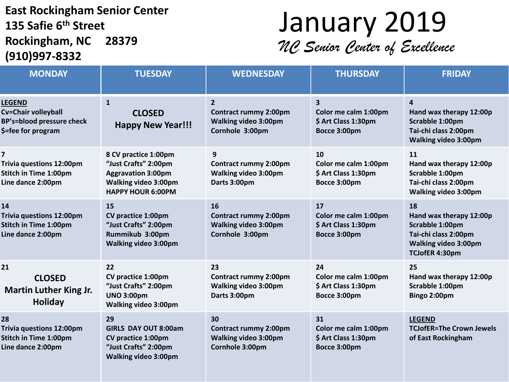#### **East Rockingham Senior Center 135 Safie 6 th Street Rockingham, NC 28379 (910)997-8332**

### January 2019 *NC Senior Center of Excellence*

| <b>MONDAY</b>                                                                                                   | <b>TUESDAY</b>                                                                                                                       | <b>WEDNESDAY</b>                                                                                 | <b>THURSDAY</b>                                                                        | <b>FRIDAY</b>                                                                                                             |
|-----------------------------------------------------------------------------------------------------------------|--------------------------------------------------------------------------------------------------------------------------------------|--------------------------------------------------------------------------------------------------|----------------------------------------------------------------------------------------|---------------------------------------------------------------------------------------------------------------------------|
| <b>LEGEND</b><br>Cv=Chair volleyball<br><b>BP's=blood pressure check</b><br>\$=fee for program                  | $\mathbf{1}$<br><b>CLOSED</b><br><b>Happy New Year!!!</b>                                                                            | $\overline{2}$<br><b>Contract rummy 2:00pm</b><br><b>Walking video 3:00pm</b><br>Cornhole 3:00pm | $\overline{\mathbf{3}}$<br>Color me calm 1:00pm<br>\$ Art Class 1:30pm<br>Bocce 3:00pm | 4<br>Hand wax therapy 12:00p<br>Scrabble 1:00pm<br>Tai-chi class 2:00pm<br><b>Walking video 3:00pm</b>                    |
| $\overline{\mathbf{z}}$<br><b>Trivia questions 12:00pm</b><br><b>Stitch in Time 1:00pm</b><br>Line dance 2:00pm | 8 CV practice 1:00pm<br>"Just Crafts" 2:00pm<br><b>Aggravation 3:00pm</b><br><b>Walking video 3:00pm</b><br><b>HAPPY HOUR 6:00PM</b> | 9<br><b>Contract rummy 2:00pm</b><br>Walking video 3:00pm<br>Darts 3:00pm                        | 10<br>Color me calm 1:00pm<br>\$ Art Class 1:30pm<br>Bocce 3:00pm                      | 11<br>Hand wax therapy 12:00p<br>Scrabble 1:00pm<br>Tai-chi class 2:00pm<br><b>Walking video 3:00pm</b>                   |
| 14<br><b>Trivia questions 12:00pm</b><br><b>Stitch in Time 1:00pm</b><br>Line dance 2:00pm                      | 15<br><b>CV practice 1:00pm</b><br>"Just Crafts" 2:00pm<br>Rummikub 3:00pm<br><b>Walking video 3:00pm</b>                            | 16<br><b>Contract rummy 2:00pm</b><br><b>Walking video 3:00pm</b><br>Cornhole 3:00pm             | 17<br>Color me calm 1:00pm<br>\$ Art Class 1:30pm<br>Bocce 3:00pm                      | 18<br>Hand wax therapy 12:00p<br>Scrabble 1:00pm<br>Tai-chi class 2:00pm<br><b>Walking video 3:00pm</b><br>TCJofER 4:30pm |
| 21<br><b>CLOSED</b><br><b>Martin Luther King Jr.</b><br><b>Holiday</b>                                          | 22<br>CV practice 1:00pm<br>"Just Crafts" 2:00pm<br><b>UNO 3:00pm</b><br><b>Walking video 3:00pm</b>                                 | 23<br><b>Contract rummy 2:00pm</b><br>Walking video 3:00pm<br>Darts 3:00pm                       | 24<br>Color me calm 1:00pm<br>\$ Art Class 1:30pm<br>Bocce 3:00pm                      | 25<br>Hand wax therapy 12:00p<br>Scrabble 1:00pm<br>Bingo 2:00pm                                                          |
| 28<br><b>Trivia questions 12:00pm</b><br><b>Stitch in Time 1:00pm</b><br>Line dance 2:00pm                      | 29<br><b>GIRLS DAY OUT 8:00am</b><br>CV practice 1:00pm<br>"Just Crafts" 2:00pm<br><b>Walking video 3:00pm</b>                       | 30<br><b>Contract rummy 2:00pm</b><br><b>Walking video 3:00pm</b><br>Cornhole 3:00pm             | 31<br>Color me calm 1:00pm<br>\$ Art Class 1:30pm<br>Bocce 3:00pm                      | <b>LEGEND</b><br><b>TCJofER=The Crown Jewels</b><br>of East Rockingham                                                    |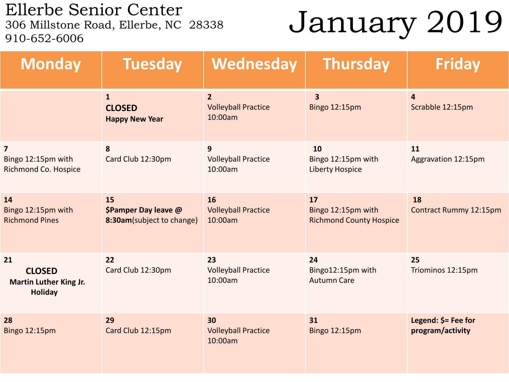Ellerbe Senior Center<br>306 Millstone Road, Ellerbe, NC 28338 910-652-6006

# January 2019

| <b>Monday</b>                                                          | <b>Tuesday</b>                                          | Wednesday                                               | <b>Thursday</b>                                            | <b>Friday</b>                           |
|------------------------------------------------------------------------|---------------------------------------------------------|---------------------------------------------------------|------------------------------------------------------------|-----------------------------------------|
|                                                                        | $\mathbf{1}$<br><b>CLOSED</b><br><b>Happy New Year</b>  | $\overline{2}$<br><b>Volleyball Practice</b><br>10:00am | $\overline{\mathbf{3}}$<br><b>Bingo 12:15pm</b>            | $\overline{4}$<br>Scrabble 12:15pm      |
| $\overline{\mathbf{z}}$<br>Bingo 12:15pm with<br>Richmond Co. Hospice  | 8<br>Card Club 12:30pm                                  | 9<br><b>Volleyball Practice</b><br>10:00am              | 10<br>Bingo 12:15pm with<br><b>Liberty Hospice</b>         | 11<br>Aggravation 12:15pm               |
| 14<br>Bingo 12:15pm with<br><b>Richmond Pines</b>                      | 15<br>\$Pamper Day leave @<br>8:30am(subject to change) | 16<br><b>Volleyball Practice</b><br>10:00am             | 17<br>Bingo 12:15pm with<br><b>Richmond County Hospice</b> | 18<br>Contract Rummy 12:15pm            |
| 21<br><b>CLOSED</b><br><b>Martin Luther King Jr.</b><br><b>Holiday</b> | 22<br>Card Club 12:30pm                                 | 23<br><b>Volleyball Practice</b><br>10:00am             | 24<br>Bingo12:15pm with<br><b>Autumn Care</b>              | 25<br>Triominos 12:15pm                 |
| 28<br>Bingo 12:15pm                                                    | 29<br>Card Club 12:15pm                                 | 30<br><b>Volleyball Practice</b><br>10:00am             | 31<br><b>Bingo 12:15pm</b>                                 | Legend: \$= Fee for<br>program/activity |